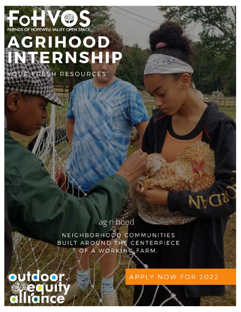

# **AGRIHOOD** NTERNSHIP

R FRESH RESOURCES

000

ag·ri·hood

NEIGHBORHOOD COMMUNITIES BUILT AROUND THE CENTERPIECE OF A WORKING FARM.

#### APPLY NOW FOR 2022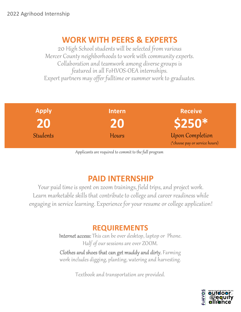#### **WORK WITH PEERS & EXPERTS**

20 High School students will be selected from various Mercer County neighborhoods to work with community experts. Collaboration and teamwork among diverse groups is featured in all FoHVOS-OEA internships. Expert partners may offer fulltime or summer work to graduates.

| <b>Apply</b>    | <b>Intern</b> | <b>Receive</b>                                    |
|-----------------|---------------|---------------------------------------------------|
| 20              | 20            | \$250*                                            |
| <b>Students</b> | Hours         | Upon Completion<br>(*choose pay or service hours) |

Applicants are required to commit to the full program

## **PAID INTERNSHIP**

Your paid time is spent on zoom trainings, field trips, and project work. Learn marketable skills that contribute to college and career readiness while engaging in service learning. Experience for your resume or college application!

#### **REQUIREMENTS**

Internet access: This can be over desktop, laptop or Phone. Half of our sessions are over ZOOM.

Clothes and shoes that can get muddy and dirty. Farming work includes digging, planting, watering and harvesting.

Textbook and transportation are provided.

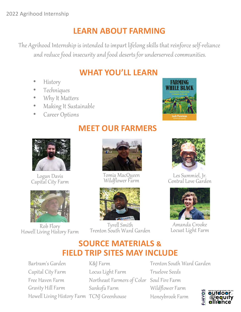## **LEARN ABOUT FARMING**

The Agrihood Internship is intended to impart lifelong skills that reinforce self-reliance and reduce food insecurity and food deserts for underserved communities.

## **WHAT YOU'LL LEARN**

- History
- Techniques
- Why It Matters
- Making It Sustainable
- Career Options





Logan Davis Capital City Farm



Rob Flory<br>Howell Living History Farm

## **MEET OUR FARMERS**



Tomia MacQueen Wildflower Farm



Tyrell Smith Trenton South Ward Garden



Les Summiel, Jr. Central Love Garden



Amanda Crooke Locust Light Farm

## **SOURCE MATERIALS & FIELD TRIP SITES MAY INCLUDE**

Bartram's Garden Capital City Farm Free Haven Farm Gravity Hill Farm Howell Living History Farm TCNJ Greenhouse

K&J Farm Locus Light Farm Northeast Farmers of Color Soul Fire Farm Sankofa Farm

Trenton South Ward Garden Truelove Seeds Wildflower Farm Honeybrook Farm